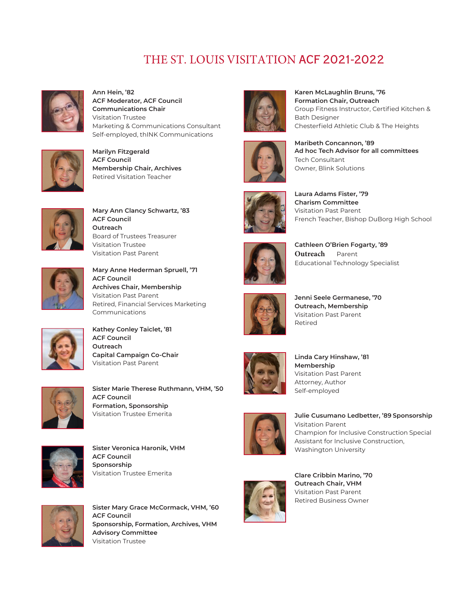## THE ST. LOUIS VISITATION ACF 2021-2022



**Ann Hein, '82 ACF Moderator, ACF Council Communications Chair** Visitation Trustee Marketing & Communications Consultant Self-employed, thINK Communications



**Marilyn Fitzgerald ACF Council Membership Chair, Archives** Retired Visitation Teacher



**Mary Ann Clancy Schwartz, '83 ACF Council Outreach** Board of Trustees Treasurer Visitation Trustee Visitation Past Parent



**Mary Anne Hederman Spruell, '71 ACF Council Archives Chair, Membership** Visitation Past Parent Retired, Financial Services Marketing Communications



**Kathey Conley Taiclet, '81 ACF Council Outreach Capital Campaign Co-Chair** Visitation Past Parent



**Sister Marie Therese Ruthmann, VHM, '50 ACF Council Formation, Sponsorship** Visitation Trustee Emerita



**Sister Veronica Haronik, VHM ACF Council Sponsorship** Visitation Trustee Emerita



**Sister Mary Grace McCormack, VHM, '60 ACF Council Sponsorship, Formation, Archives, VHM Advisory Committee** Visitation Trustee





Group Fitness Instructor, Certified Kitchen & Bath Designer Chesterfield Athletic Club & The Heights **Maribeth Concannon, '89**

**Ad hoc Tech Advisor for all committees**

**Karen McLaughlin Bruns, '76 Formation Chair, Outreach**

Tech Consultant Owner, Blink Solutions



**Laura Adams Fister, '79 Charism Committee** Visitation Past Parent French Teacher, Bishop DuBorg High School



**Cathleen O'Brien Fogarty, '89 Outreach** Parent Educational Technology Specialist



**Jenni Seele Germanese, '70 Outreach, Membership**  Visitation Past Parent Retired



**Linda Cary Hinshaw, '81 Membership** Visitation Past Parent Attorney, Author Self-employed



**Julie Cusumano Ledbetter, '89 Sponsorship** Visitation Parent Champion for Inclusive Construction Special Assistant for Inclusive Construction, Washington University



**Clare Cribbin Marino, '70 Outreach Chair, VHM** Visitation Past Parent Retired Business Owner